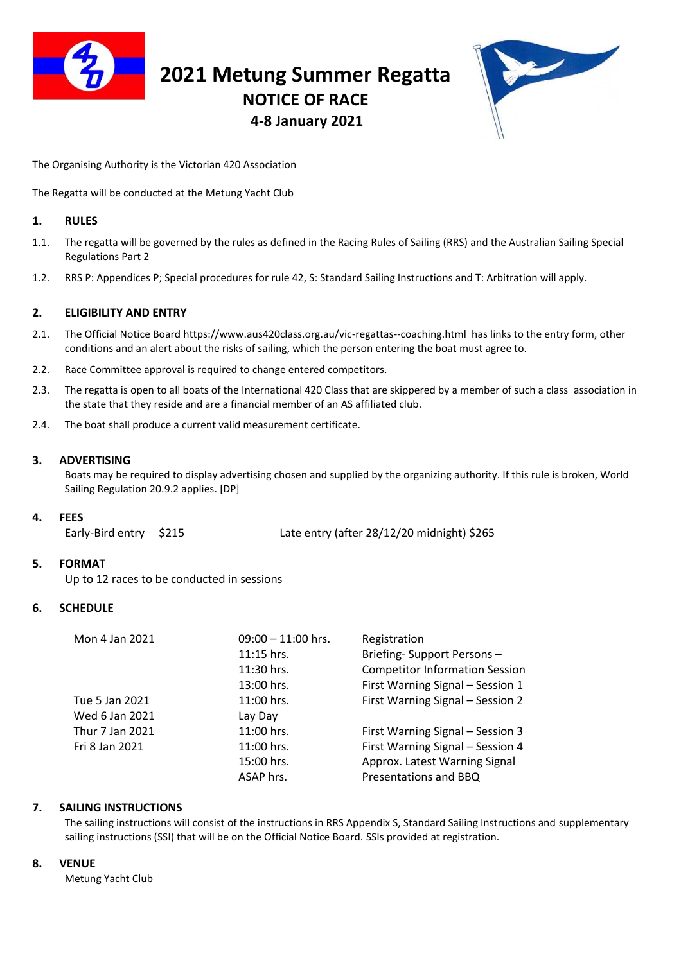

# **2021 Metung Summer Regatta NOTICE OF RACE 4-8 January 2021**



The Organising Authority is the Victorian 420 Association

The Regatta will be conducted at the Metung Yacht Club

## **1. RULES**

- 1.1. The regatta will be governed by the rules as defined in the Racing Rules of Sailing (RRS) and the Australian Sailing Special Regulations Part 2
- 1.2. RRS P: Appendices P; Special procedures for rule 42, S: Standard Sailing Instructions and T: Arbitration will apply.

# **2. ELIGIBILITY AND ENTRY**

- 2.1. The Official Notice Board<https://www.aus420class.org.au/vic-regattas--coaching.html> has links to the entry form, other conditions and an alert about the risks of sailing, which the person entering the boat must agree to.
- 2.2. Race Committee approval is required to change entered competitors.
- 2.3. The regatta is open to all boats of the International 420 Class that are skippered by a member of such a class association in the state that they reside and are a financial member of an AS affiliated club.
- 2.4. The boat shall produce a current valid measurement certificate.

## **3. ADVERTISING**

Boats may be required to display advertising chosen and supplied by the organizing authority. If this rule is broken, World Sailing Regulation 20.9.2 applies. [DP]

#### **4. FEES**

Early-Bird entry \$215 Late entry (after 28/12/20 midnight) \$265

# **5. FORMAT**

Up to 12 races to be conducted in sessions

# **6. SCHEDULE**

|  | Mon 4 Jan 2021  | $09:00 - 11:00$ hrs. | Registration                          |
|--|-----------------|----------------------|---------------------------------------|
|  |                 | 11:15 hrs.           | Briefing-Support Persons-             |
|  |                 | 11:30 hrs.           | <b>Competitor Information Session</b> |
|  |                 | 13:00 hrs.           | First Warning Signal - Session 1      |
|  | Tue 5 Jan 2021  | 11:00 hrs.           | First Warning Signal - Session 2      |
|  | Wed 6 Jan 2021  | Lay Day              |                                       |
|  | Thur 7 Jan 2021 | 11:00 hrs.           | First Warning Signal - Session 3      |
|  | Fri 8 Jan 2021  | 11:00 hrs.           | First Warning Signal - Session 4      |
|  |                 | 15:00 hrs.           | Approx. Latest Warning Signal         |
|  |                 | ASAP hrs.            | Presentations and BBQ                 |
|  |                 |                      |                                       |

# **7. SAILING INSTRUCTIONS**

The sailing instructions will consist of the instructions in RRS Appendix S, Standard Sailing Instructions and supplementary sailing instructions (SSI) that will be on the Official Notice Board. SSIs provided at registration.

#### **8. VENUE**

Metung Yacht Club